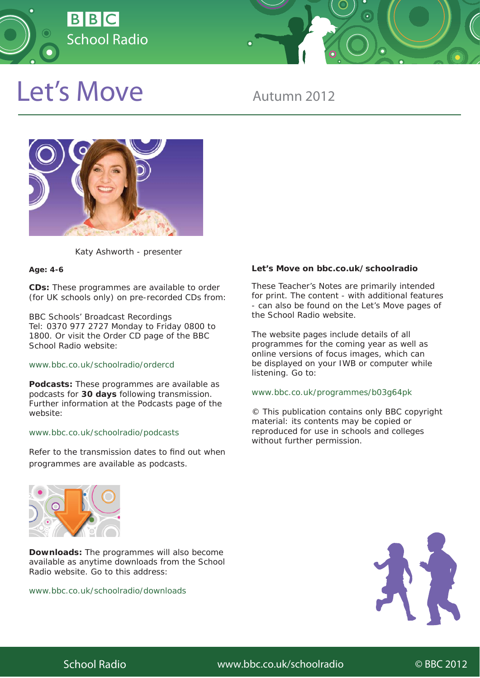

# Let's Move Autumn 2012



Katy Ashworth - presenter

#### **Age: 4-6**

**CDs:** These programmes are available to order (for UK schools only) on pre-recorded CDs from:

BBC Schools' Broadcast Recordings Tel: 0370 977 2727 Monday to Friday 0800 to 1800. Or visit the Order CD page of the BBC School Radio website:

#### www.bbc.co.uk/schoolradio/ordercd

**Podcasts:** These programmes are available as podcasts for **30 days** following transmission. Further information at the Podcasts page of the website:

www.bbc.co.uk/schoolradio/podcasts

Refer to the transmission dates to find out when programmes are available as podcasts.

#### **Let's Move on bbc.co.uk/schoolradio**

These Teacher's Notes are primarily intended for print. The content - with additional features - can also be found on the Let's Move pages of the School Radio website.

The website pages include details of all programmes for the coming year as well as online versions of focus images, which can be displayed on your IWB or computer while listening. Go to:

#### www.bbc.co.uk/programmes/b03g64pk

© This publication contains only BBC copyright material: its contents may be copied or reproduced for use in schools and colleges without further permission.



**Downloads:** The programmes will also become available as anytime downloads from the School Radio website. Go to this address:

www.bbc.co.uk/schoolradio/downloads



#### School Radio www.bbc.co.uk/schoolradio © BBC 2012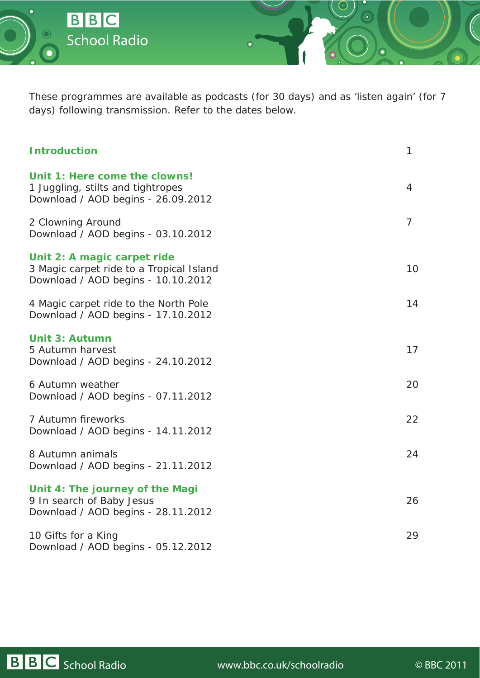

 These programmes are available as podcasts (for 30 days) and as 'listen again' (for 7 days) following transmission. Refer to the dates below.

| <b>Introduction</b>                                                                                           | 1              |
|---------------------------------------------------------------------------------------------------------------|----------------|
| Unit 1: Here come the clowns!<br>1 Juggling, stilts and tightropes<br>Download / AOD begins - 26.09.2012      | 4              |
| 2 Clowning Around<br>Download / AOD begins - 03.10.2012                                                       | $\overline{7}$ |
| Unit 2: A magic carpet ride<br>3 Magic carpet ride to a Tropical Island<br>Download / AOD begins - 10.10.2012 | 10             |
| 4 Magic carpet ride to the North Pole<br>Download / AOD begins - 17.10.2012                                   | 14             |
| <b>Unit 3: Autumn</b><br>5 Autumn harvest<br>Download / AOD begins - 24.10.2012                               | 17             |
| 6 Autumn weather<br>Download / AOD begins - 07.11.2012                                                        | 20             |
| 7 Autumn fireworks<br>Download / AOD begins - 14.11.2012                                                      | 22             |
| 8 Autumn animals<br>Download / AOD begins - 21.11.2012                                                        | 24             |
| Unit 4: The journey of the Magi<br>9 In search of Baby Jesus<br>Download / AOD begins - 28.11.2012            | 26             |
| 10 Gifts for a King<br>Download / AOD begins - 05.12.2012                                                     | 29             |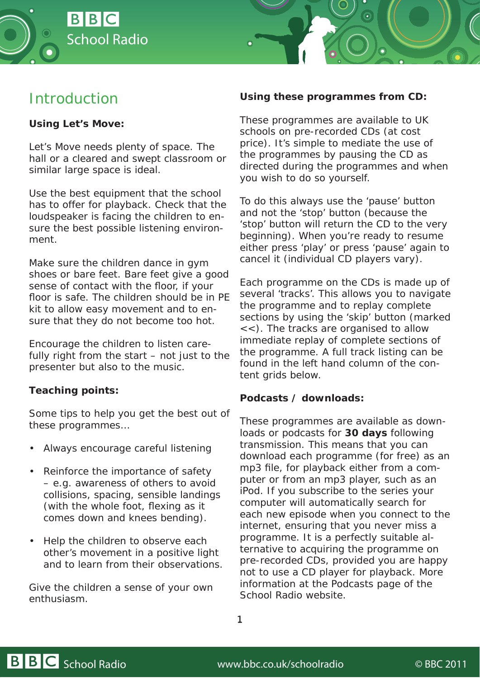



#### **Using Let's Move:**

*Let's Move* needs plenty of space. The hall or a cleared and swept classroom or similar large space is ideal.

Use the best equipment that the school has to offer for playback. Check that the loudspeaker is facing the children to ensure the best possible listening environment.

Make sure the children dance in gym shoes or bare feet. Bare feet give a good sense of contact with the floor, if your floor is safe. The children should be in PE kit to allow easy movement and to ensure that they do not become too hot.

Encourage the children to listen carefully right from the start – not just to the presenter but also to the music.

#### **Teaching points:**

Some tips to help you get the best out of these programmes…

- Always encourage careful listening
- Reinforce the importance of safety – e.g. awareness of others to avoid collisions, spacing, sensible landings (with the whole foot, flexing as it comes down and knees bending).
- Help the children to observe each other's movement in a positive light and to learn from their observations.

Give the children a sense of your own enthusiasm.

#### **Using these programmes from CD:**

These programmes are available to UK schools on pre-recorded CDs (at cost price). It's simple to mediate the use of the programmes by pausing the CD as directed during the programmes and when you wish to do so yourself.

To do this always use the 'pause' button and not the 'stop' button (because the 'stop' button will return the CD to the very beginning). When you're ready to resume either press 'play' or press 'pause' again to cancel it (individual CD players vary).

Each programme on the CDs is made up of several 'tracks'. This allows you to navigate the programme and to replay complete sections by using the 'skip' button (marked <<). The tracks are organised to allow immediate replay of complete sections of the programme. A full track listing can be found in the left hand column of the content grids below.

#### **Podcasts / downloads:**

These programmes are available as downloads or podcasts for **30 days** following transmission. This means that you can download each programme (for free) as an mp3 file, for playback either from a computer or from an mp3 player, such as an iPod. If you subscribe to the series your computer will automatically search for each new episode when you connect to the internet, ensuring that you never miss a programme. It is a perfectly suitable alternative to acquiring the programme on pre-recorded CDs, provided you are happy not to use a CD player for playback. More information at the Podcasts page of the School Radio website.

11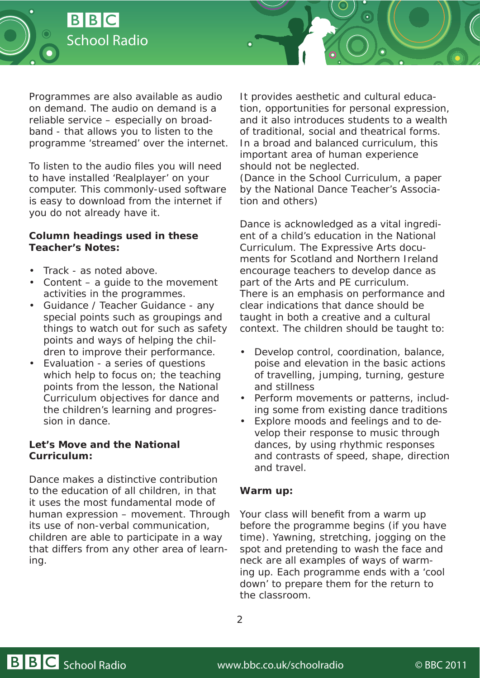

Programmes are also available as audio on demand. The audio on demand is a reliable service – especially on broadband - that allows you to listen to the programme 'streamed' over the internet.

To listen to the audio files you will need to have installed 'Realplayer' on your computer. This commonly-used software is easy to download from the internet if you do not already have it.

#### **Column headings used in these Teacher's Notes:**

- Track as noted above.
- Content  $-$  a guide to the movement activities in the programmes.
- Guidance / Teacher Guidance any special points such as groupings and things to watch out for such as safety points and ways of helping the children to improve their performance.
- Evaluation a series of questions which help to focus on; the teaching points from the lesson, the National Curriculum objectives for dance and the children's learning and progression in dance.

#### **Let's Move and the National Curriculum:**

Dance makes a distinctive contribution to the education of all children, in that it uses the most fundamental mode of human expression – movement. Through its use of non-verbal communication, children are able to participate in a way that differs from any other area of learning.

 It provides aesthetic and cultural education, opportunities for personal expression, and it also introduces students to a wealth of traditional, social and theatrical forms. In a broad and balanced curriculum, this important area of human experience should not be neglected.

*(Dance in the School Curriculum, a paper by the National Dance Teacher's Association and others)* 

Dance is acknowledged as a vital ingredient of a child's education in the National Curriculum. The Expressive Arts documents for Scotland and Northern Ireland encourage teachers to develop dance as part of the Arts and PE curriculum. There is an emphasis on performance and clear indications that dance should be taught in both a creative and a cultural context. The children should be taught to:

- Develop control, coordination, balance, poise and elevation in the basic actions of travelling, jumping, turning, gesture and stillness
- Perform movements or patterns, including some from existing dance traditions
- Explore moods and feelings and to develop their response to music through dances, by using rhythmic responses and contrasts of speed, shape, direction and travel.

#### **Warm up:**

Your class will benefit from a warm up before the programme begins (if you have time). Yawning, stretching, jogging on the spot and pretending to wash the face and neck are all examples of ways of warming up. Each programme ends with a 'cool down' to prepare them for the return to the classroom.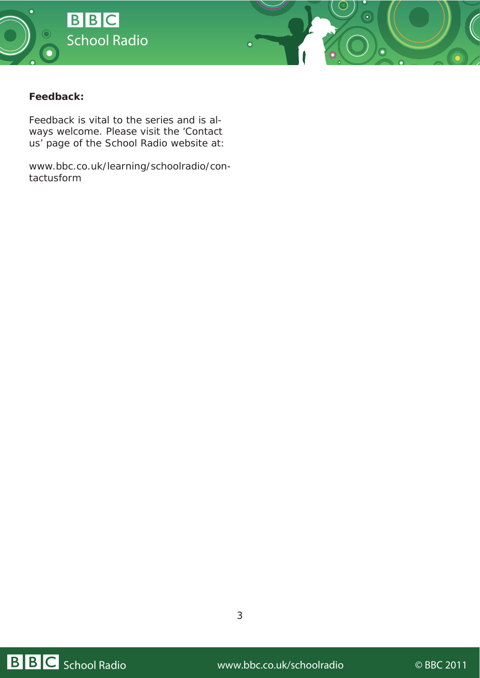

#### **Feedback:**

Feedback is vital to the series and is always welcome. Please visit the 'Contact us' page of the School Radio website at:

www.bbc.co.uk/learning/schoolradio/contactusform



3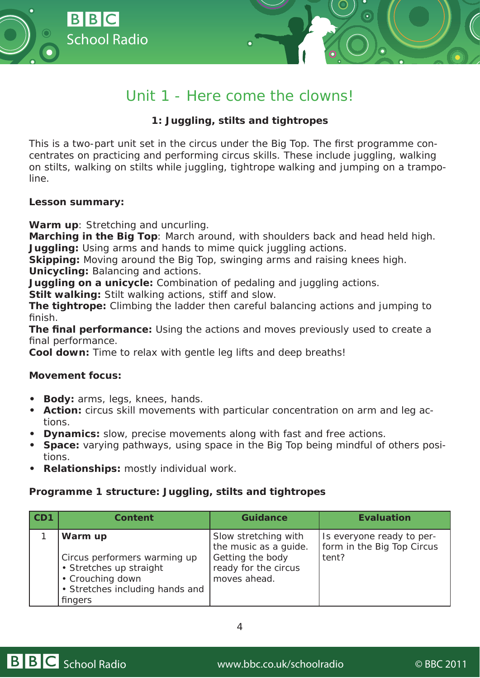

# Unit 1 - Here come the clowns!

#### **1: Juggling, stilts and tightropes**

This is a two-part unit set in the circus under the Big Top. The first programme concentrates on practicing and performing circus skills. These include juggling, walking on stilts, walking on stilts while juggling, tightrope walking and jumping on a trampoline.

#### **Lesson summary:**

**Warm up**: Stretching and uncurling.

**Marching in the Big Top**: March around, with shoulders back and head held high. **Juggling:** Using arms and hands to mime quick juggling actions.

**Skipping:** Moving around the Big Top, swinging arms and raising knees high. **Unicycling:** Balancing and actions.

**Juggling on a unicycle:** Combination of pedaling and juggling actions.

**Stilt walking:** Stilt walking actions, stiff and slow.

**The tightrope:** Climbing the ladder then careful balancing actions and jumping to finish.

**The final performance:** Using the actions and moves previously used to create a final performance.

**Cool down:** Time to relax with gentle leg lifts and deep breaths!

#### **Movement focus:**

- **Body:** arms, legs, knees, hands.
- **Action:** circus skill movements with particular concentration on arm and leg actions.
- **Dynamics:** slow, precise movements along with fast and free actions.
- **Space:** varying pathways, using space in the Big Top being mindful of others positions.
- **Relationships:** mostly individual work.

#### **Programme 1 structure: Juggling, stilts and tightropes**

| CD <sub>1</sub> | <b>Content</b>                                                                                                                       | Guidance                                                                                                  | <b>Evaluation</b>                                                |
|-----------------|--------------------------------------------------------------------------------------------------------------------------------------|-----------------------------------------------------------------------------------------------------------|------------------------------------------------------------------|
|                 | Warm up<br>Circus performers warming up<br>• Stretches up straight<br>• Crouching down<br>• Stretches including hands and<br>fingers | Slow stretching with<br>the music as a guide.<br>Getting the body<br>ready for the circus<br>moves ahead. | Is everyone ready to per-<br>form in the Big Top Circus<br>tent? |

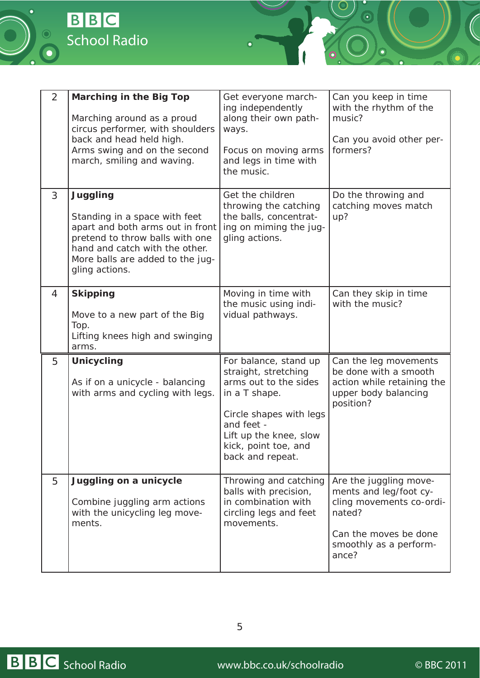

| $\overline{2}$ | <b>Marching in the Big Top</b><br>Marching around as a proud<br>circus performer, with shoulders<br>back and head held high.<br>Arms swing and on the second<br>march, smiling and waving.               | Get everyone march-<br>ing independently<br>along their own path-<br>ways.<br>Focus on moving arms<br>and legs in time with<br>the music.                                                              | Can you keep in time<br>with the rhythm of the<br>music?<br>Can you avoid other per-<br>formers?                                                   |
|----------------|----------------------------------------------------------------------------------------------------------------------------------------------------------------------------------------------------------|--------------------------------------------------------------------------------------------------------------------------------------------------------------------------------------------------------|----------------------------------------------------------------------------------------------------------------------------------------------------|
| 3              | Juggling<br>Standing in a space with feet<br>apart and both arms out in front<br>pretend to throw balls with one<br>hand and catch with the other.<br>More balls are added to the jug-<br>gling actions. | Get the children<br>throwing the catching<br>the balls, concentrat-<br>ing on miming the jug-<br>gling actions.                                                                                        | Do the throwing and<br>catching moves match<br>up?                                                                                                 |
| 4              | <b>Skipping</b><br>Move to a new part of the Big<br>Top.<br>Lifting knees high and swinging<br>arms.                                                                                                     | Moving in time with<br>the music using indi-<br>vidual pathways.                                                                                                                                       | Can they skip in time<br>with the music?                                                                                                           |
| 5              | <b>Unicycling</b><br>As if on a unicycle - balancing<br>with arms and cycling with legs.                                                                                                                 | For balance, stand up<br>straight, stretching<br>arms out to the sides<br>in a T shape.<br>Circle shapes with legs<br>and feet -<br>Lift up the knee, slow<br>kick, point toe, and<br>back and repeat. | Can the leg movements<br>be done with a smooth<br>action while retaining the<br>upper body balancing<br>position?                                  |
| 5              | Juggling on a unicycle<br>Combine juggling arm actions<br>with the unicycling leg move-<br>ments.                                                                                                        | Throwing and catching<br>balls with precision,<br>in combination with<br>circling legs and feet<br>movements.                                                                                          | Are the juggling move-<br>ments and leg/foot cy-<br>cling movements co-ordi-<br>nated?<br>Can the moves be done<br>smoothly as a perform-<br>ance? |

 $\odot$ 

BBC School Radio www.bbc.co.uk/schoolradio © BBC 2011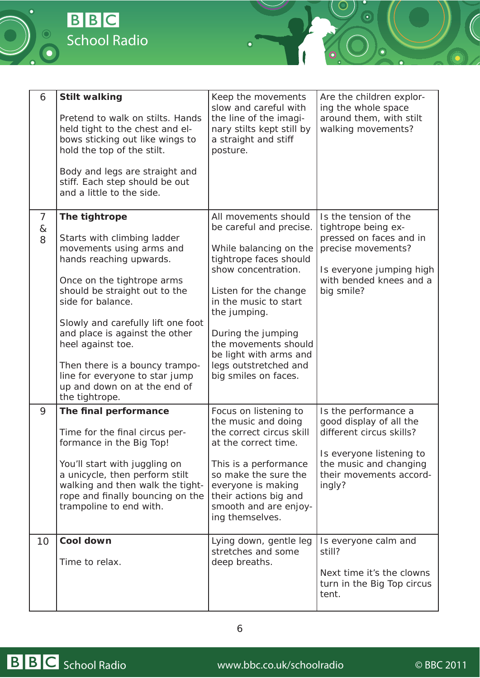

| 6                        | <b>Stilt walking</b><br>Pretend to walk on stilts. Hands<br>held tight to the chest and el-<br>bows sticking out like wings to<br>hold the top of the stilt.<br>Body and legs are straight and<br>stiff. Each step should be out<br>and a little to the side.                                                                                                                                              | Keep the movements<br>slow and careful with<br>the line of the imagi-<br>nary stilts kept still by<br>a straight and stiff<br>posture.                                                                                                                                                                                | Are the children explor-<br>ing the whole space<br>around them, with stilt<br>walking movements?                                                                       |
|--------------------------|------------------------------------------------------------------------------------------------------------------------------------------------------------------------------------------------------------------------------------------------------------------------------------------------------------------------------------------------------------------------------------------------------------|-----------------------------------------------------------------------------------------------------------------------------------------------------------------------------------------------------------------------------------------------------------------------------------------------------------------------|------------------------------------------------------------------------------------------------------------------------------------------------------------------------|
| $\overline{7}$<br>&<br>8 | The tightrope<br>Starts with climbing ladder<br>movements using arms and<br>hands reaching upwards.<br>Once on the tightrope arms<br>should be straight out to the<br>side for balance.<br>Slowly and carefully lift one foot<br>and place is against the other<br>heel against toe.<br>Then there is a bouncy trampo-<br>line for everyone to star jump<br>up and down on at the end of<br>the tightrope. | All movements should<br>be careful and precise.<br>While balancing on the<br>tightrope faces should<br>show concentration.<br>Listen for the change<br>in the music to start<br>the jumping.<br>During the jumping<br>the movements should<br>be light with arms and<br>legs outstretched and<br>big smiles on faces. | Is the tension of the<br>tightrope being ex-<br>pressed on faces and in<br>precise movements?<br>Is everyone jumping high<br>with bended knees and a<br>big smile?     |
| 9                        | The final performance<br>Time for the final circus per-<br>formance in the Big Top!<br>You'll start with juggling on<br>a unicycle, then perform stilt<br>walking and then walk the tight-<br>rope and finally bouncing on the<br>trampoline to end with.                                                                                                                                                  | Focus on listening to<br>the music and doing<br>the correct circus skill<br>at the correct time.<br>This is a performance<br>so make the sure the<br>everyone is making<br>their actions big and<br>smooth and are enjoy-<br>ing themselves.                                                                          | Is the performance a<br>good display of all the<br>different circus skills?<br>Is everyone listening to<br>the music and changing<br>their movements accord-<br>ingly? |
| 10                       | Cool down<br>Time to relax.                                                                                                                                                                                                                                                                                                                                                                                | Lying down, gentle leg<br>stretches and some<br>deep breaths.                                                                                                                                                                                                                                                         | Is everyone calm and<br>still?<br>Next time it's the clowns<br>turn in the Big Top circus<br>tent.                                                                     |

 $\odot$ 

6

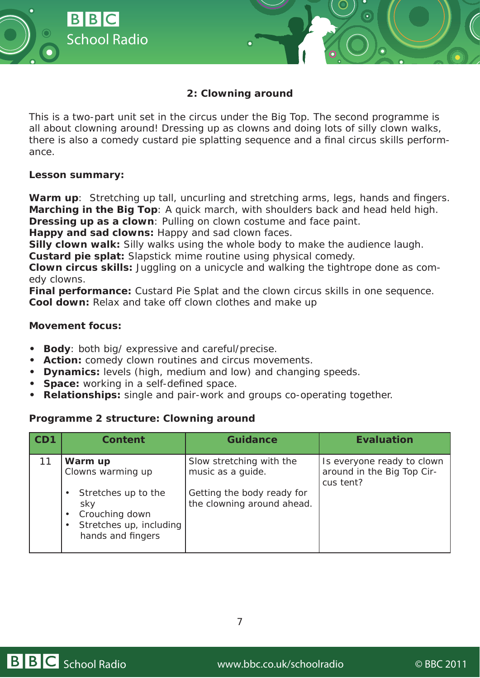

#### **2: Clowning around**

This is a two-part unit set in the circus under the Big Top. The second programme is all about clowning around! Dressing up as clowns and doing lots of silly clown walks, there is also a comedy custard pie splatting sequence and a final circus skills performance.

#### **Lesson summary:**

**Warm up**: Stretching up tall, uncurling and stretching arms, legs, hands and fingers. **Marching in the Big Top**: A quick march, with shoulders back and head held high. **Dressing up as a clown**: Pulling on clown costume and face paint.

**Happy and sad clowns:** Happy and sad clown faces.

**Silly clown walk:** Silly walks using the whole body to make the audience laugh. **Custard pie splat:** Slapstick mime routine using physical comedy.

**Clown circus skills:** Juggling on a unicycle and walking the tightrope done as comedy clowns.

**Final performance:** Custard Pie Splat and the clown circus skills in one sequence. **Cool down:** Relax and take off clown clothes and make up

#### **Movement focus:**

- **Body**: both big/ expressive and careful/precise.
- **Action:** comedy clown routines and circus movements.
- **Dynamics:** levels (high, medium and low) and changing speeds.
- **Space:** working in a self-defined space.
- **Relationships:** single and pair-work and groups co-operating together.

#### **Programme 2 structure: Clowning around**

| CD1 | <b>Content</b>                                                                               | <b>Guidance</b>                                          | <b>Evaluation</b>                                                     |
|-----|----------------------------------------------------------------------------------------------|----------------------------------------------------------|-----------------------------------------------------------------------|
| 11  | Warm up<br>Clowns warming up                                                                 | Slow stretching with the<br>music as a guide.            | Is everyone ready to clown<br>around in the Big Top Cir-<br>cus tent? |
|     | Stretches up to the<br>sky<br>Crouching down<br>Stretches up, including<br>hands and fingers | Getting the body ready for<br>the clowning around ahead. |                                                                       |

BBC School Radio Www.bbc.co.uk/schoolradio © BBC 2011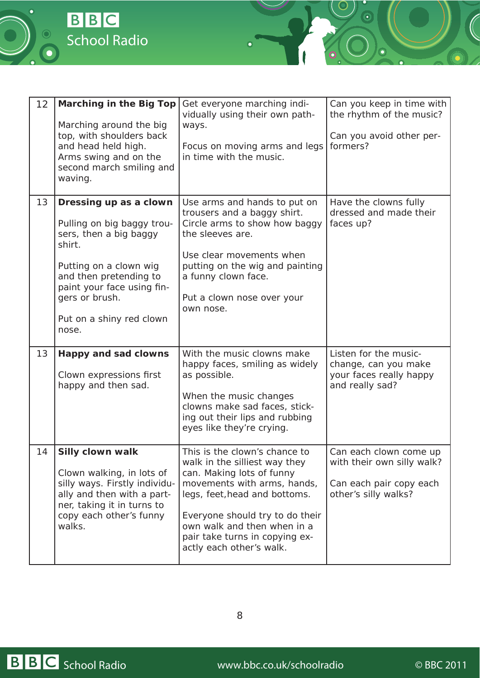

| 12 | Marching in the Big Top<br>Marching around the big<br>top, with shoulders back<br>and head held high.<br>Arms swing and on the<br>second march smiling and<br>waving.                                                             | Get everyone marching indi-<br>vidually using their own path-<br>ways.<br>Focus on moving arms and legs<br>in time with the music.                                                                                                                                                          | Can you keep in time with<br>the rhythm of the music?<br>Can you avoid other per-<br>formers?           |
|----|-----------------------------------------------------------------------------------------------------------------------------------------------------------------------------------------------------------------------------------|---------------------------------------------------------------------------------------------------------------------------------------------------------------------------------------------------------------------------------------------------------------------------------------------|---------------------------------------------------------------------------------------------------------|
| 13 | Dressing up as a clown<br>Pulling on big baggy trou-<br>sers, then a big baggy<br>shirt.<br>Putting on a clown wig<br>and then pretending to<br>paint your face using fin-<br>gers or brush.<br>Put on a shiny red clown<br>nose. | Use arms and hands to put on<br>trousers and a baggy shirt.<br>Circle arms to show how baggy<br>the sleeves are.<br>Use clear movements when<br>putting on the wig and painting<br>a funny clown face.<br>Put a clown nose over your<br>own nose.                                           | Have the clowns fully<br>dressed and made their<br>faces up?                                            |
| 13 | <b>Happy and sad clowns</b><br>Clown expressions first<br>happy and then sad.                                                                                                                                                     | With the music clowns make<br>happy faces, smiling as widely<br>as possible.<br>When the music changes<br>clowns make sad faces, stick-<br>ing out their lips and rubbing<br>eyes like they're crying.                                                                                      | Listen for the music-<br>change, can you make<br>your faces really happy<br>and really sad?             |
| 14 | Silly clown walk<br>Clown walking, in lots of<br>silly ways. Firstly individu-<br>ally and then with a part-<br>ner, taking it in turns to<br>copy each other's funny<br>walks.                                                   | This is the clown's chance to<br>walk in the silliest way they<br>can. Making lots of funny<br>movements with arms, hands,<br>legs, feet, head and bottoms.<br>Everyone should try to do their<br>own walk and then when in a<br>pair take turns in copying ex-<br>actly each other's walk. | Can each clown come up<br>with their own silly walk?<br>Can each pair copy each<br>other's silly walks? |

 $\odot$ 

BBC School Radio www.bbc.co.uk/schoolradio © BBC 2011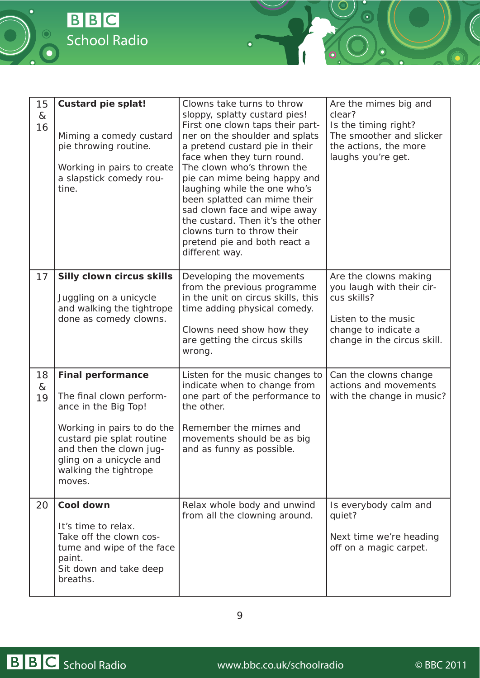| 15<br>$\&$<br>16 | <b>Custard pie splat!</b><br>Miming a comedy custard<br>pie throwing routine.<br>Working in pairs to create<br>a slapstick comedy rou-<br>tine.                                                                                  | Clowns take turns to throw<br>sloppy, splatty custard pies!<br>First one clown taps their part-<br>ner on the shoulder and splats<br>a pretend custard pie in their<br>face when they turn round.<br>The clown who's thrown the<br>pie can mime being happy and<br>laughing while the one who's<br>been splatted can mime their<br>sad clown face and wipe away<br>the custard. Then it's the other<br>clowns turn to throw their<br>pretend pie and both react a<br>different way. | Are the mimes big and<br>clear?<br>Is the timing right?<br>The smoother and slicker<br>the actions, the more<br>laughs you're get.              |
|------------------|----------------------------------------------------------------------------------------------------------------------------------------------------------------------------------------------------------------------------------|-------------------------------------------------------------------------------------------------------------------------------------------------------------------------------------------------------------------------------------------------------------------------------------------------------------------------------------------------------------------------------------------------------------------------------------------------------------------------------------|-------------------------------------------------------------------------------------------------------------------------------------------------|
| 17               | Silly clown circus skills<br>Juggling on a unicycle<br>and walking the tightrope<br>done as comedy clowns.                                                                                                                       | Developing the movements<br>from the previous programme<br>in the unit on circus skills, this<br>time adding physical comedy.<br>Clowns need show how they<br>are getting the circus skills<br>wrong.                                                                                                                                                                                                                                                                               | Are the clowns making<br>you laugh with their cir-<br>cus skills?<br>Listen to the music<br>change to indicate a<br>change in the circus skill. |
| 18<br>$\&$<br>19 | <b>Final performance</b><br>The final clown perform-<br>ance in the Big Top!<br>Working in pairs to do the<br>custard pie splat routine<br>and then the clown jug-<br>gling on a unicycle and<br>walking the tightrope<br>moves. | Listen for the music changes to<br>indicate when to change from<br>one part of the performance to<br>the other.<br>Remember the mimes and<br>movements should be as big<br>and as funny as possible.                                                                                                                                                                                                                                                                                | Can the clowns change<br>actions and movements<br>with the change in music?                                                                     |
| 20               | Cool down<br>It's time to relax.<br>Take off the clown cos-<br>tume and wipe of the face<br>paint.<br>Sit down and take deep<br>breaths.                                                                                         | Relax whole body and unwind<br>from all the clowning around.                                                                                                                                                                                                                                                                                                                                                                                                                        | Is everybody calm and<br>quiet?<br>Next time we're heading<br>off on a magic carpet.                                                            |

 $\bigcirc$ 

 $\overline{Z}$ 



School Radio

BBC

 $\mathbf{\odot}$ 

 $\bullet$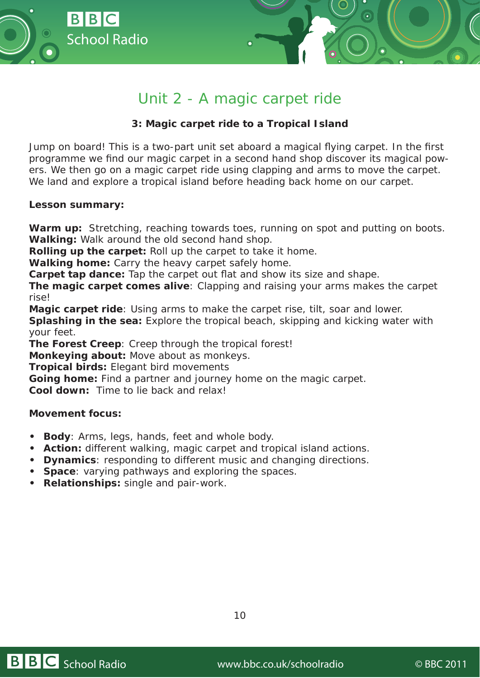

# Unit 2 - A magic carpet ride

#### **3: Magic carpet ride to a Tropical Island**

Jump on board! This is a two-part unit set aboard a magical flying carpet. In the first programme we find our magic carpet in a second hand shop discover its magical powers. We then go on a magic carpet ride using clapping and arms to move the carpet. We land and explore a tropical island before heading back home on our carpet.

#### **Lesson summary:**

**Warm up:** Stretching, reaching towards toes, running on spot and putting on boots. **Walking:** Walk around the old second hand shop.

**Rolling up the carpet:** Roll up the carpet to take it home.

**Walking home:** Carry the heavy carpet safely home.

**Carpet tap dance:** Tap the carpet out flat and show its size and shape.

**The magic carpet comes alive**: Clapping and raising your arms makes the carpet rise!

**Magic carpet ride**: Using arms to make the carpet rise, tilt, soar and lower.

**Splashing in the sea:** Explore the tropical beach, skipping and kicking water with your feet.

**The Forest Creep**: Creep through the tropical forest!

**Monkeying about:** Move about as monkeys.

**Tropical birds:** Elegant bird movements

**Going home:** Find a partner and journey home on the magic carpet.

**Cool down:** Time to lie back and relax!

#### **Movement focus:**

- **Body:** Arms, legs, hands, feet and whole body.
- **Action:** different walking, magic carpet and tropical island actions.
- **Dynamics**: responding to different music and changing directions.
- **Space**: varying pathways and exploring the spaces.
- **Relationships:** single and pair-work.

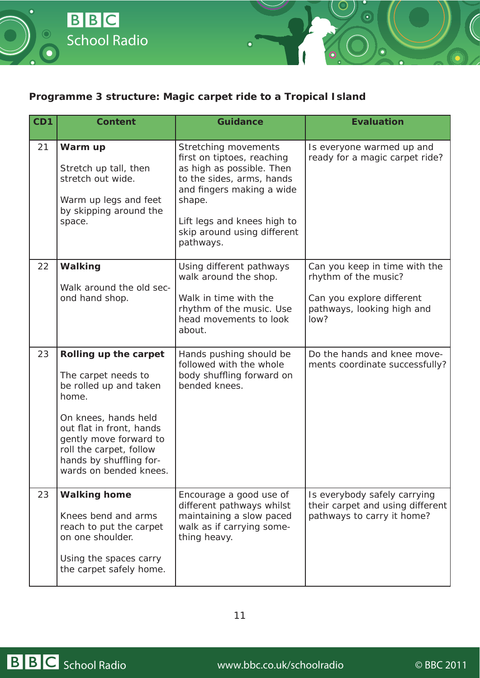

## **Programme 3 structure: Magic carpet ride to a Tropical Island**

| CD <sub>1</sub> | <b>Content</b>                                                                                                                                                                                                                                | <b>Guidance</b>                                                                                                                                                                                                                | <b>Evaluation</b>                                                                                                        |
|-----------------|-----------------------------------------------------------------------------------------------------------------------------------------------------------------------------------------------------------------------------------------------|--------------------------------------------------------------------------------------------------------------------------------------------------------------------------------------------------------------------------------|--------------------------------------------------------------------------------------------------------------------------|
| 21              | Warm up<br>Stretch up tall, then<br>stretch out wide.<br>Warm up legs and feet<br>by skipping around the<br>space.                                                                                                                            | Stretching movements<br>first on tiptoes, reaching<br>as high as possible. Then<br>to the sides, arms, hands<br>and fingers making a wide<br>shape.<br>Lift legs and knees high to<br>skip around using different<br>pathways. | Is everyone warmed up and<br>ready for a magic carpet ride?                                                              |
| 22              | Walking<br>Walk around the old sec-<br>ond hand shop.                                                                                                                                                                                         | Using different pathways<br>walk around the shop.<br>Walk in time with the<br>rhythm of the music. Use<br>head movements to look<br>about.                                                                                     | Can you keep in time with the<br>rhythm of the music?<br>Can you explore different<br>pathways, looking high and<br>low? |
| 23              | Rolling up the carpet<br>The carpet needs to<br>be rolled up and taken<br>home.<br>On knees, hands held<br>out flat in front, hands<br>gently move forward to<br>roll the carpet, follow<br>hands by shuffling for-<br>wards on bended knees. | Hands pushing should be<br>followed with the whole<br>body shuffling forward on<br>bended knees.                                                                                                                               | Do the hands and knee move-<br>ments coordinate successfully?                                                            |
| 23              | <b>Walking home</b><br>Knees bend and arms<br>reach to put the carpet<br>on one shoulder.<br>Using the spaces carry<br>the carpet safely home.                                                                                                | Encourage a good use of<br>different pathways whilst<br>maintaining a slow paced<br>walk as if carrying some-<br>thing heavy.                                                                                                  | Is everybody safely carrying<br>their carpet and using different<br>pathways to carry it home?                           |

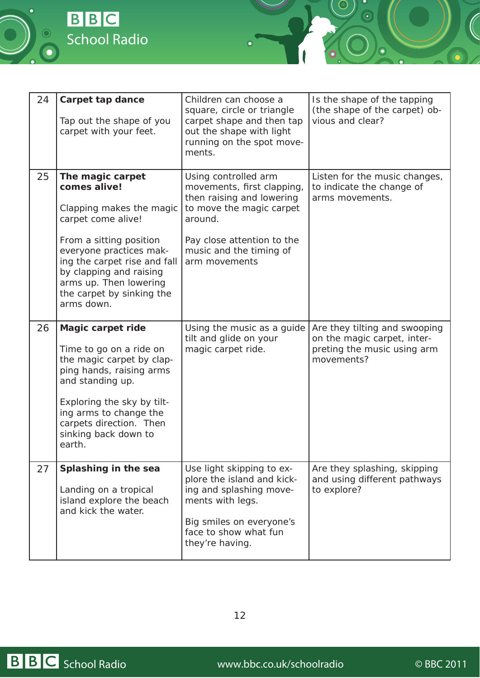

| 24 | Carpet tap dance<br>Tap out the shape of you<br>carpet with your feet.                                                                                                                                                                                                   | Children can choose a<br>square, circle or triangle<br>carpet shape and then tap<br>out the shape with light<br>running on the spot move-<br>ments.                                              | Is the shape of the tapping<br>(the shape of the carpet) ob-<br>vious and clear?                          |
|----|--------------------------------------------------------------------------------------------------------------------------------------------------------------------------------------------------------------------------------------------------------------------------|--------------------------------------------------------------------------------------------------------------------------------------------------------------------------------------------------|-----------------------------------------------------------------------------------------------------------|
| 25 | The magic carpet<br>comes alive!<br>Clapping makes the magic<br>carpet come alive!<br>From a sitting position<br>everyone practices mak-<br>ing the carpet rise and fall<br>by clapping and raising<br>arms up. Then lowering<br>the carpet by sinking the<br>arms down. | Using controlled arm<br>movements, first clapping,<br>then raising and lowering<br>to move the magic carpet<br>around.<br>Pay close attention to the<br>music and the timing of<br>arm movements | Listen for the music changes,<br>to indicate the change of<br>arms movements.                             |
| 26 | Magic carpet ride<br>Time to go on a ride on<br>the magic carpet by clap-<br>ping hands, raising arms<br>and standing up.<br>Exploring the sky by tilt-<br>ing arms to change the<br>carpets direction. Then<br>sinking back down to<br>earth.                           | Using the music as a guide<br>tilt and glide on your<br>magic carpet ride.                                                                                                                       | Are they tilting and swooping<br>on the magic carpet, inter-<br>preting the music using arm<br>movements? |
| 27 | Splashing in the sea<br>Landing on a tropical<br>island explore the beach<br>and kick the water.                                                                                                                                                                         | Use light skipping to ex-<br>plore the island and kick-<br>ing and splashing move-<br>ments with legs.<br>Big smiles on everyone's<br>face to show what fun<br>they're having.                   | Are they splashing, skipping<br>and using different pathways<br>to explore?                               |

 $\widehat{\bullet}$ 

BBC School Radio www.bbc.co.uk/schoolradio © BBC 2011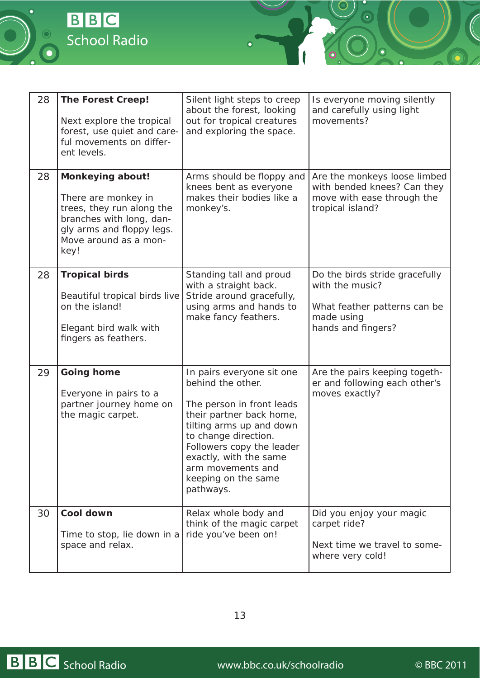

| 28 | <b>The Forest Creep!</b><br>Next explore the tropical<br>forest, use quiet and care-<br>ful movements on differ-<br>ent levels.                                       | Silent light steps to creep<br>about the forest, looking<br>out for tropical creatures<br>and exploring the space.                                                                                                                                                          | Is everyone moving silently<br>and carefully using light<br>movements?                                                |
|----|-----------------------------------------------------------------------------------------------------------------------------------------------------------------------|-----------------------------------------------------------------------------------------------------------------------------------------------------------------------------------------------------------------------------------------------------------------------------|-----------------------------------------------------------------------------------------------------------------------|
| 28 | <b>Monkeying about!</b><br>There are monkey in<br>trees, they run along the<br>branches with long, dan-<br>gly arms and floppy legs.<br>Move around as a mon-<br>key! | Arms should be floppy and<br>knees bent as everyone<br>makes their bodies like a<br>monkey's.                                                                                                                                                                               | Are the monkeys loose limbed<br>with bended knees? Can they<br>move with ease through the<br>tropical island?         |
| 28 | <b>Tropical birds</b><br>Beautiful tropical birds live<br>on the island!<br>Elegant bird walk with<br>fingers as feathers.                                            | Standing tall and proud<br>with a straight back.<br>Stride around gracefully,<br>using arms and hands to<br>make fancy feathers.                                                                                                                                            | Do the birds stride gracefully<br>with the music?<br>What feather patterns can be<br>made using<br>hands and fingers? |
| 29 | <b>Going home</b><br>Everyone in pairs to a<br>partner journey home on<br>the magic carpet.                                                                           | In pairs everyone sit one<br>behind the other.<br>The person in front leads<br>their partner back home,<br>tilting arms up and down<br>to change direction.<br>Followers copy the leader<br>exactly, with the same<br>arm movements and<br>keeping on the same<br>pathways. | Are the pairs keeping togeth-<br>er and following each other's<br>moves exactly?                                      |
| 30 | Cool down<br>Time to stop, lie down in a<br>space and relax.                                                                                                          | Relax whole body and<br>think of the magic carpet<br>ride you've been on!                                                                                                                                                                                                   | Did you enjoy your magic<br>carpet ride?<br>Next time we travel to some-<br>where very cold!                          |

 $\frac{1}{2}$ 

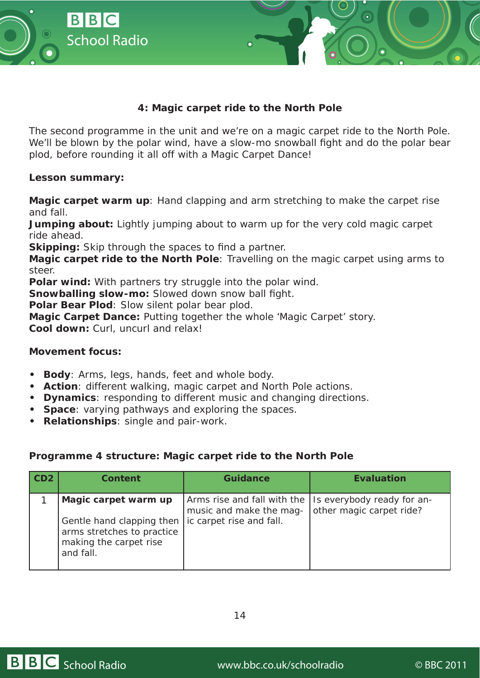

#### **4: Magic carpet ride to the North Pole**

The second programme in the unit and we're on a magic carpet ride to the North Pole. We'll be blown by the polar wind, have a slow-mo snowball fight and do the polar bear plod, before rounding it all off with a Magic Carpet Dance!

#### **Lesson summary:**

**Magic carpet warm up**: Hand clapping and arm stretching to make the carpet rise and fall.

**Jumping about:** Lightly jumping about to warm up for the very cold magic carpet ride ahead.

**Skipping:** Skip through the spaces to find a partner.

**Magic carpet ride to the North Pole**: Travelling on the magic carpet using arms to steer.

**Polar wind:** With partners try struggle into the polar wind.

**Snowballing slow-mo:** Slowed down snow ball fight.

**Polar Bear Plod**: Slow silent polar bear plod.

**Magic Carpet Dance:** Putting together the whole 'Magic Carpet' story.

**Cool down:** Curl, uncurl and relax!

#### **Movement focus:**

- **Body**: Arms, legs, hands, feet and whole body.
- **Action**: different walking, magic carpet and North Pole actions.
- **Dynamics**: responding to different music and changing directions.
- **Space**: varying pathways and exploring the spaces.
- **Relationships**: single and pair-work.

#### **Programme 4 structure: Magic carpet ride to the North Pole**

| CD <sub>2</sub> | Content                                                                                                                                           | Guidance                                               | <b>Evaluation</b>                                      |
|-----------------|---------------------------------------------------------------------------------------------------------------------------------------------------|--------------------------------------------------------|--------------------------------------------------------|
|                 | Magic carpet warm up<br>Gentle hand clapping then   ic carpet rise and fall.<br>arms stretches to practice<br>making the carpet rise<br>and fall. | Arms rise and fall with the<br>music and make the mag- | Is everybody ready for an-<br>other magic carpet ride? |

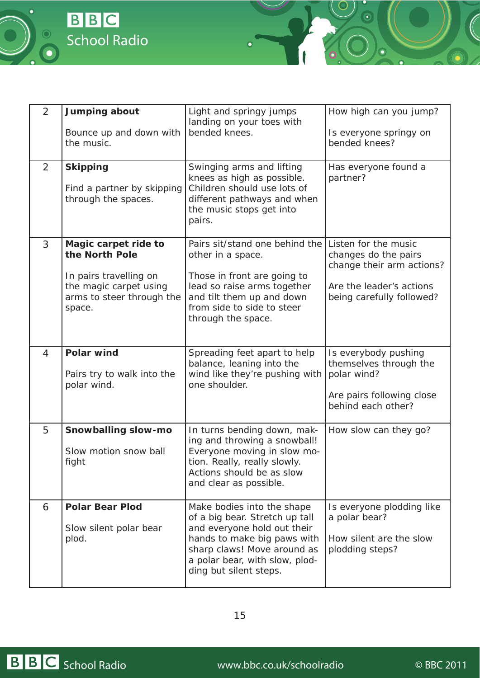



School Radio

BBC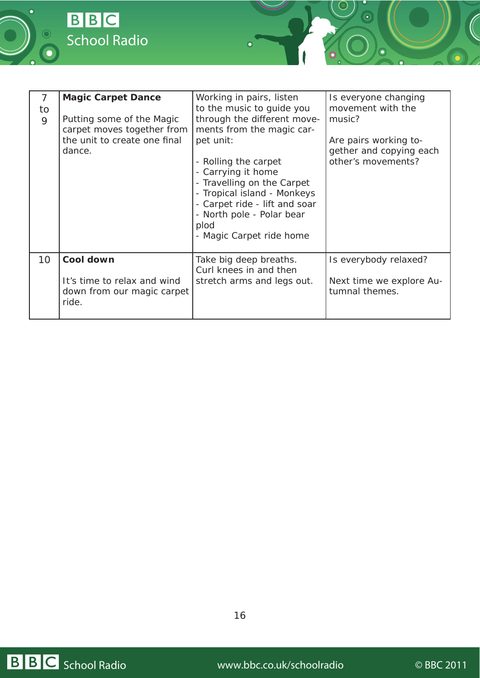| 7<br>to<br>9<br>dance. | <b>Magic Carpet Dance</b><br>Putting some of the Magic<br>carpet moves together from<br>the unit to create one final | Working in pairs, listen<br>to the music to guide you<br>through the different move-<br>ments from the magic car-<br>pet unit:<br>- Rolling the carpet<br>- Carrying it home<br>- Travelling on the Carpet<br>- Tropical island - Monkeys<br>- Carpet ride - lift and soar<br>- North pole - Polar bear<br>plod<br>- Magic Carpet ride home | Is everyone changing<br>movement with the<br>music?<br>Are pairs working to-<br>gether and copying each<br>other's movements? |
|------------------------|----------------------------------------------------------------------------------------------------------------------|---------------------------------------------------------------------------------------------------------------------------------------------------------------------------------------------------------------------------------------------------------------------------------------------------------------------------------------------|-------------------------------------------------------------------------------------------------------------------------------|
| 10<br>Cool down        | It's time to relax and wind<br>down from our magic carpet                                                            | Take big deep breaths.<br>Curl knees in and then<br>stretch arms and legs out.                                                                                                                                                                                                                                                              | Is everybody relaxed?<br>Next time we explore Au-<br>tumnal themes.                                                           |

 $\frac{1}{2}$ 

 $\overline{\ell}$ 



BBC<br>School Radio

 $\mathbf{\Theta}$ 

 $\bullet$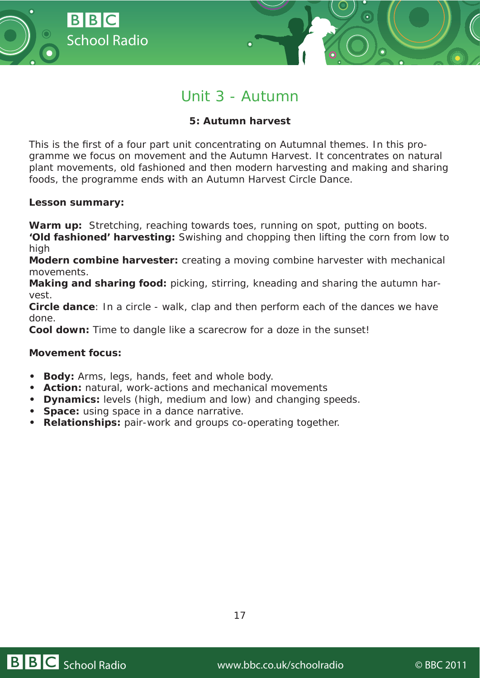

# Unit 3 - Autumn

#### **5: Autumn harvest**

This is the first of a four part unit concentrating on Autumnal themes. In this programme we focus on movement and the Autumn Harvest. It concentrates on natural plant movements, old fashioned and then modern harvesting and making and sharing foods, the programme ends with an Autumn Harvest Circle Dance.

#### **Lesson summary:**

**Warm up:** Stretching, reaching towards toes, running on spot, putting on boots.

**'Old fashioned' harvesting:** Swishing and chopping then lifting the corn from low to high

**Modern combine harvester:** creating a moving combine harvester with mechanical movements.

**Making and sharing food:** picking, stirring, kneading and sharing the autumn harvest.

**Circle dance**: In a circle - walk, clap and then perform each of the dances we have done.

**Cool down:** Time to dangle like a scarecrow for a doze in the sunset!

#### **Movement focus:**

- **Body:** Arms, legs, hands, feet and whole body.
- **Action:** natural, work-actions and mechanical movements
- **Dynamics:** levels (high, medium and low) and changing speeds.
- **Space:** using space in a dance narrative.
- **Relationships:** pair-work and groups co-operating together.

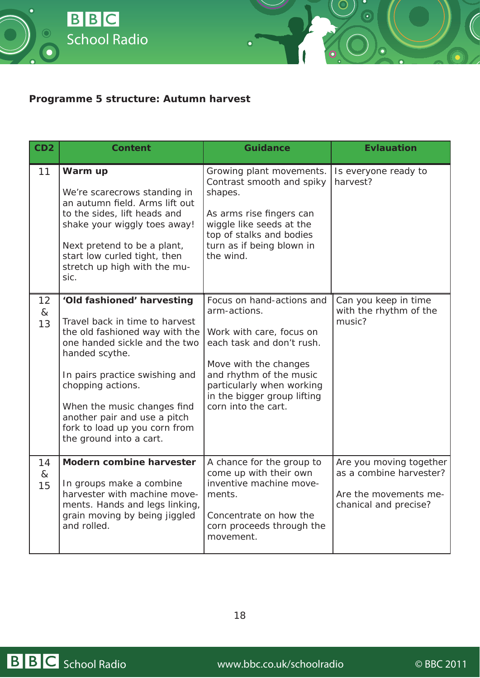

### **Programme 5 structure: Autumn harvest**

| CD <sub>2</sub>  | <b>Content</b>                                                                                                                                                                                                                                                                                                                      | <b>Guidance</b>                                                                                                                                                                                                                           | <b>Evlauation</b>                                                                                    |
|------------------|-------------------------------------------------------------------------------------------------------------------------------------------------------------------------------------------------------------------------------------------------------------------------------------------------------------------------------------|-------------------------------------------------------------------------------------------------------------------------------------------------------------------------------------------------------------------------------------------|------------------------------------------------------------------------------------------------------|
| 11               | Warm up<br>We're scarecrows standing in<br>an autumn field. Arms lift out<br>to the sides, lift heads and<br>shake your wiggly toes away!<br>Next pretend to be a plant,<br>start low curled tight, then<br>stretch up high with the mu-<br>sic.                                                                                    | Growing plant movements.<br>Contrast smooth and spiky<br>shapes.<br>As arms rise fingers can<br>wiggle like seeds at the<br>top of stalks and bodies<br>turn as if being blown in<br>the wind.                                            | Is everyone ready to<br>harvest?                                                                     |
| 12<br>&<br>13    | 'Old fashioned' harvesting<br>Travel back in time to harvest<br>the old fashioned way with the<br>one handed sickle and the two<br>handed scythe.<br>In pairs practice swishing and<br>chopping actions.<br>When the music changes find<br>another pair and use a pitch<br>fork to load up you corn from<br>the ground into a cart. | Focus on hand-actions and<br>arm-actions.<br>Work with care, focus on<br>each task and don't rush.<br>Move with the changes<br>and rhythm of the music<br>particularly when working<br>in the bigger group lifting<br>corn into the cart. | Can you keep in time<br>with the rhythm of the<br>music?                                             |
| 14<br>$\&$<br>15 | <b>Modern combine harvester</b><br>In groups make a combine<br>harvester with machine move-<br>ments. Hands and legs linking,<br>grain moving by being jiggled<br>and rolled.                                                                                                                                                       | A chance for the group to<br>come up with their own<br>inventive machine move-<br>ments.<br>Concentrate on how the<br>corn proceeds through the<br>movement.                                                                              | Are you moving together<br>as a combine harvester?<br>Are the movements me-<br>chanical and precise? |

 $\bullet$ 

BBC School Radio www.bbc.co.uk/schoolradio © BBC 2011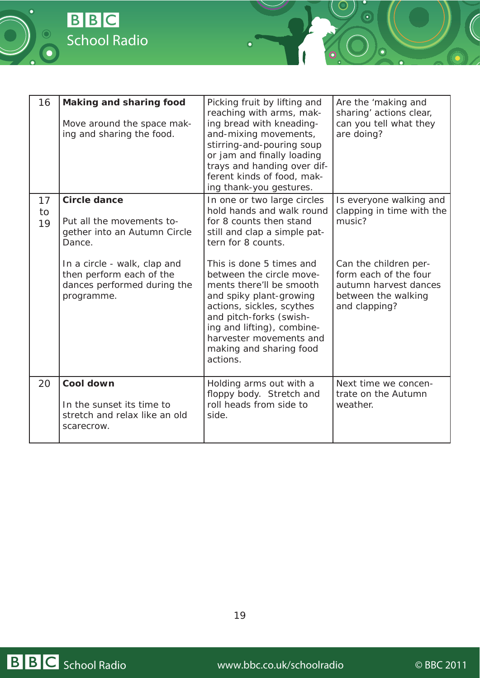

| 16             | <b>Making and sharing food</b><br>Move around the space mak-<br>ing and sharing the food.             | Picking fruit by lifting and<br>reaching with arms, mak-<br>ing bread with kneading-<br>and-mixing movements,<br>stirring-and-pouring soup<br>or jam and finally loading<br>trays and handing over dif-<br>ferent kinds of food, mak-<br>ing thank-you gestures.    | Are the 'making and<br>sharing' actions clear,<br>can you tell what they<br>are doing?                          |
|----------------|-------------------------------------------------------------------------------------------------------|---------------------------------------------------------------------------------------------------------------------------------------------------------------------------------------------------------------------------------------------------------------------|-----------------------------------------------------------------------------------------------------------------|
| 17<br>to<br>19 | <b>Circle dance</b><br>Put all the movements to-<br>gether into an Autumn Circle<br>Dance.            | In one or two large circles<br>hold hands and walk round<br>for 8 counts then stand<br>still and clap a simple pat-<br>tern for 8 counts.                                                                                                                           | Is everyone walking and<br>clapping in time with the<br>music?                                                  |
|                | In a circle - walk, clap and<br>then perform each of the<br>dances performed during the<br>programme. | This is done 5 times and<br>between the circle move-<br>ments there'll be smooth<br>and spiky plant-growing<br>actions, sickles, scythes<br>and pitch-forks (swish-<br>ing and lifting), combine-<br>harvester movements and<br>making and sharing food<br>actions. | Can the children per-<br>form each of the four<br>autumn harvest dances<br>between the walking<br>and clapping? |
| 20             | <b>Cool down</b><br>In the sunset its time to<br>stretch and relax like an old<br>scarecrow.          | Holding arms out with a<br>floppy body. Stretch and<br>roll heads from side to<br>side.                                                                                                                                                                             | Next time we concen-<br>trate on the Autumn<br>weather.                                                         |

 $\bigodot$ 

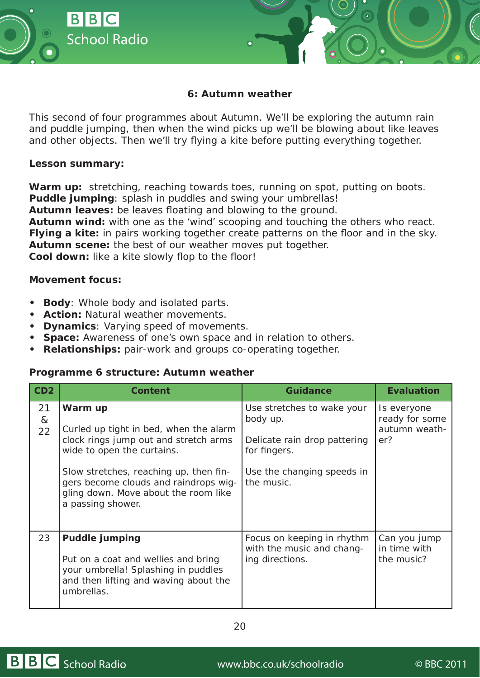

#### **6: Autumn weather**

This second of four programmes about Autumn. We'll be exploring the autumn rain and puddle jumping, then when the wind picks up we'll be blowing about like leaves and other objects. Then we'll try flying a kite before putting everything together.

#### **Lesson summary:**

**Warm up:** stretching, reaching towards toes, running on spot, putting on boots. **Puddle jumping**: splash in puddles and swing your umbrellas! Autumn leaves: be leaves floating and blowing to the ground. **Autumn wind:** with one as the 'wind' scooping and touching the others who react. **Flying a kite:** in pairs working together create patterns on the floor and in the sky. **Autumn scene:** the best of our weather moves put together. **Cool down:** like a kite slowly flop to the floor!

#### **Movement focus:**

- **Body:** Whole body and isolated parts.
- **Action:** Natural weather movements.
- **Dynamics**: Varying speed of movements.
- **Space:** Awareness of one's own space and in relation to others.
- **Relationships:** pair-work and groups co-operating together.

#### **Programme 6 structure: Autumn weather**

| CD2           | <b>Content</b>                                                                                                                                                                                                                                                           | <b>Guidance</b>                                                                                                                    | <b>Evaluation</b>                                     |
|---------------|--------------------------------------------------------------------------------------------------------------------------------------------------------------------------------------------------------------------------------------------------------------------------|------------------------------------------------------------------------------------------------------------------------------------|-------------------------------------------------------|
| 21<br>&<br>22 | Warm up<br>Curled up tight in bed, when the alarm<br>clock rings jump out and stretch arms<br>wide to open the curtains.<br>Slow stretches, reaching up, then fin-<br>gers become clouds and raindrops wig-<br>gling down. Move about the room like<br>a passing shower. | Use stretches to wake your<br>body up.<br>Delicate rain drop pattering<br>for fingers.<br>Use the changing speeds in<br>the music. | Is everyone<br>ready for some<br>autumn weath-<br>er? |
| 23            | <b>Puddle jumping</b><br>Put on a coat and wellies and bring<br>your umbrella! Splashing in puddles<br>and then lifting and waving about the<br>umbrellas.                                                                                                               | Focus on keeping in rhythm<br>with the music and chang-<br>ing directions.                                                         | Can you jump<br>in time with<br>the music?            |

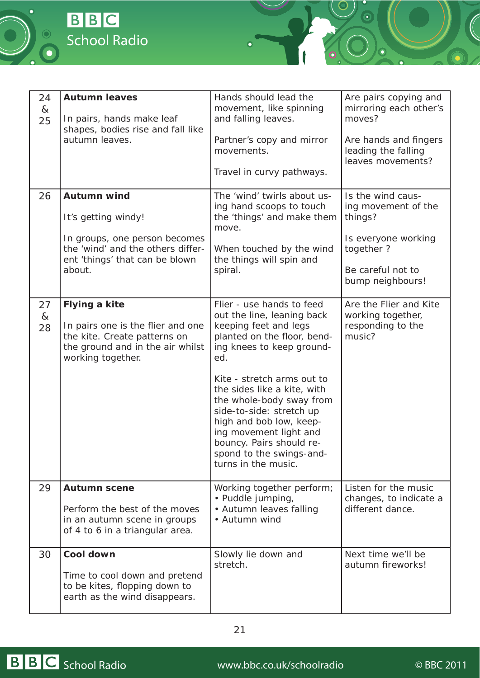

| 24<br>&<br>25 | <b>Autumn leaves</b><br>In pairs, hands make leaf<br>shapes, bodies rise and fall like<br>autumn leaves.                                                    | Hands should lead the<br>movement, like spinning<br>and falling leaves.<br>Partner's copy and mirror<br>movements.<br>Travel in curvy pathways.                                                                                                                                                                                                                                                              | Are pairs copying and<br>mirroring each other's<br>moves?<br>Are hands and fingers<br>leading the falling<br>leaves movements?   |
|---------------|-------------------------------------------------------------------------------------------------------------------------------------------------------------|--------------------------------------------------------------------------------------------------------------------------------------------------------------------------------------------------------------------------------------------------------------------------------------------------------------------------------------------------------------------------------------------------------------|----------------------------------------------------------------------------------------------------------------------------------|
| 26            | <b>Autumn wind</b><br>It's getting windy!<br>In groups, one person becomes<br>the 'wind' and the others differ-<br>ent 'things' that can be blown<br>about. | The 'wind' twirls about us-<br>ing hand scoops to touch<br>the 'things' and make them<br>move.<br>When touched by the wind<br>the things will spin and<br>spiral.                                                                                                                                                                                                                                            | Is the wind caus-<br>ing movement of the<br>things?<br>Is everyone working<br>together?<br>Be careful not to<br>bump neighbours! |
| 27<br>&<br>28 | Flying a kite<br>In pairs one is the flier and one<br>the kite. Create patterns on<br>the ground and in the air whilst<br>working together.                 | Flier - use hands to feed<br>out the line, leaning back<br>keeping feet and legs<br>planted on the floor, bend-<br>ing knees to keep ground-<br>ed.<br>Kite - stretch arms out to<br>the sides like a kite, with<br>the whole-body sway from<br>side-to-side: stretch up<br>high and bob low, keep-<br>ing movement light and<br>bouncy. Pairs should re-<br>spond to the swings-and-<br>turns in the music. | Are the Flier and Kite<br>working together,<br>responding to the<br>music?                                                       |
| 29            | <b>Autumn scene</b><br>Perform the best of the moves<br>in an autumn scene in groups<br>of 4 to 6 in a triangular area.                                     | Working together perform;<br>• Puddle jumping,<br>• Autumn leaves falling<br>• Autumn wind                                                                                                                                                                                                                                                                                                                   | Listen for the music<br>changes, to indicate a<br>different dance.                                                               |
| 30            | Cool down<br>Time to cool down and pretend<br>to be kites, flopping down to<br>earth as the wind disappears.                                                | Slowly lie down and<br>stretch.                                                                                                                                                                                                                                                                                                                                                                              | Next time we'll be<br>autumn fireworks!                                                                                          |

 $\frac{1}{2}$ 

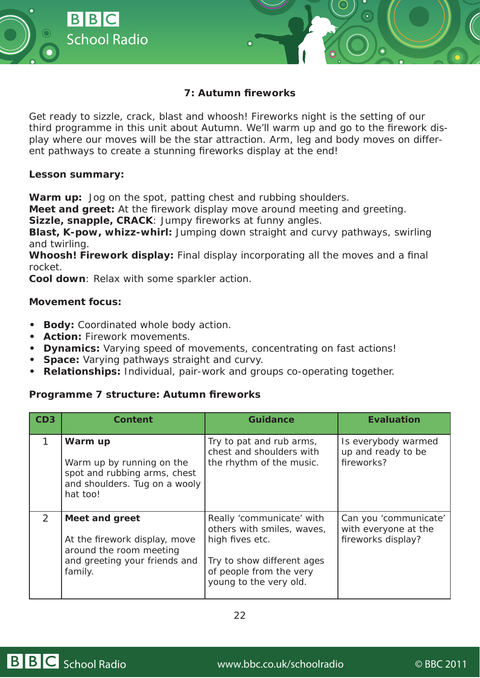

#### **7: Autumn fi reworks**

Get ready to sizzle, crack, blast and whoosh! Fireworks night is the setting of our third programme in this unit about Autumn. We'll warm up and go to the firework display where our moves will be the star attraction. Arm, leg and body moves on different pathways to create a stunning fireworks display at the end!

#### **Lesson summary:**

**Warm up:** Jog on the spot, patting chest and rubbing shoulders.

**Meet and greet:** At the firework display move around meeting and greeting.

**Sizzle, snapple, CRACK: Jumpy fireworks at funny angles.** 

**Blast, K-pow, whizz-whirl:** Jumping down straight and curvy pathways, swirling and twirling.

**Whoosh! Firework display:** Final display incorporating all the moves and a final rocket.

**Cool down**: Relax with some sparkler action.

#### **Movement focus:**

- **Body:** Coordinated whole body action.
- **Action:** Firework movements.
- **Dynamics:** Varying speed of movements, concentrating on fast actions!
- **Space:** Varying pathways straight and curvy.
- **Relationships:** Individual, pair-work and groups co-operating together.

#### **Programme 7 structure: Autumn fireworks**

| CD <sub>3</sub> | Content                                                                                                                       | <b>Guidance</b>                                                                                                                                               | <b>Evaluation</b>                                                   |
|-----------------|-------------------------------------------------------------------------------------------------------------------------------|---------------------------------------------------------------------------------------------------------------------------------------------------------------|---------------------------------------------------------------------|
|                 | Warm up<br>Warm up by running on the<br>spot and rubbing arms, chest<br>and shoulders. Tug on a wooly<br>hat too!             | Try to pat and rub arms,<br>chest and shoulders with<br>the rhythm of the music.                                                                              | Is everybody warmed<br>up and ready to be<br>fireworks?             |
| 2               | <b>Meet and greet</b><br>At the firework display, move<br>around the room meeting<br>and greeting your friends and<br>family. | Really 'communicate' with<br>others with smiles, waves,<br>high fives etc.<br>Try to show different ages<br>of people from the very<br>young to the very old. | Can you 'communicate'<br>with everyone at the<br>fireworks display? |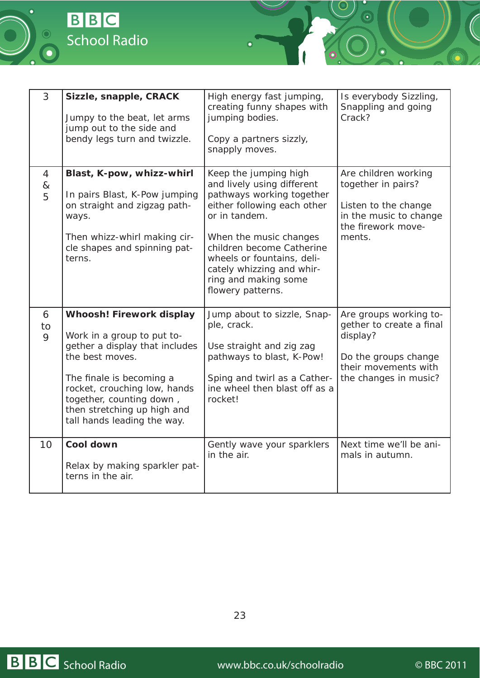



10 **Cool down** 

terns in the air.

BBC

Relax by making sparkler pat-

Gently wave your sparklers

in the air.

Next time we'll be ani-

mals in autumn.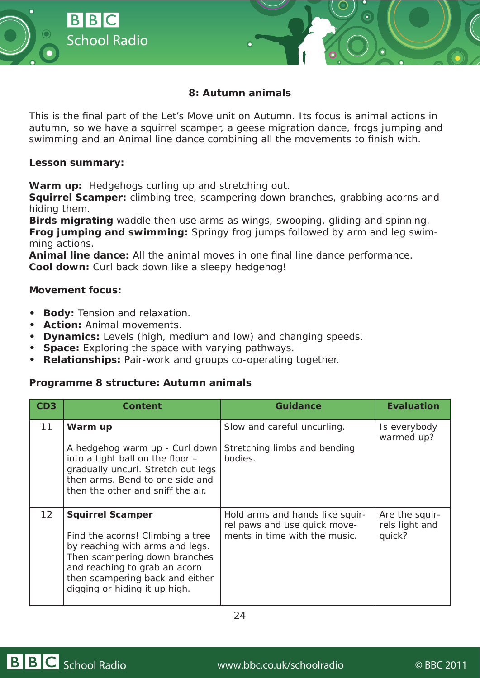

This is the final part of the *Let's Move* unit on Autumn. Its focus is animal actions in autumn, so we have a squirrel scamper, a geese migration dance, frogs jumping and swimming and an Animal line dance combining all the movements to finish with.

#### **Lesson summary:**

School Radio

BBC

**Warm up:** Hedgehogs curling up and stretching out.

**Squirrel Scamper:** climbing tree, scampering down branches, grabbing acorns and hiding them.

**Birds migrating** waddle then use arms as wings, swooping, gliding and spinning. **Frog jumping and swimming:** Springy frog jumps followed by arm and leg swimming actions.

**Animal line dance:** All the animal moves in one final line dance performance. **Cool down:** Curl back down like a sleepy hedgehog!

#### **Movement focus:**

- **Body:** Tension and relaxation.
- **Action:** Animal movements.
- **Dynamics:** Levels (high, medium and low) and changing speeds.
- **Space:** Exploring the space with varying pathways.
- **Relationships:** Pair-work and groups co-operating together.

#### **Programme 8 structure: Autumn animals**

| CD3             | <b>Content</b>                                                                                                                                                                                                                       | <b>Guidance</b>                                                                                  | <b>Evaluation</b>                          |
|-----------------|--------------------------------------------------------------------------------------------------------------------------------------------------------------------------------------------------------------------------------------|--------------------------------------------------------------------------------------------------|--------------------------------------------|
| 11              | Warm up<br>A hedgehog warm up - Curl down<br>into a tight ball on the floor -<br>gradually uncurl. Stretch out legs<br>then arms. Bend to one side and<br>then the other and sniff the air.                                          | Slow and careful uncurling.<br>Stretching limbs and bending<br>bodies.                           | Is everybody<br>warmed up?                 |
| 12 <sup>2</sup> | <b>Squirrel Scamper</b><br>Find the acorns! Climbing a tree<br>by reaching with arms and legs.<br>Then scampering down branches<br>and reaching to grab an acorn<br>then scampering back and either<br>digging or hiding it up high. | Hold arms and hands like squir-<br>rel paws and use quick move-<br>ments in time with the music. | Are the squir-<br>rels light and<br>quick? |

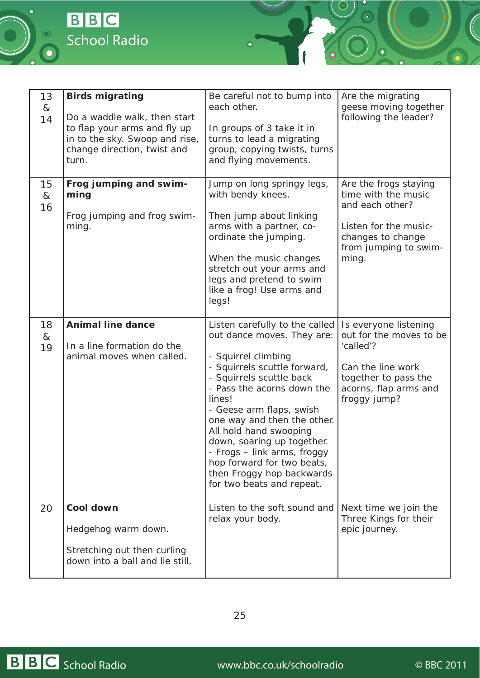

| 13<br>$\&$<br>14 | <b>Birds migrating</b><br>Do a waddle walk, then start<br>to flap your arms and fly up<br>in to the sky. Swoop and rise,<br>change direction, twist and<br>turn. | Be careful not to bump into<br>each other.<br>In groups of 3 take it in<br>turns to lead a migrating<br>group, copying twists, turns<br>and flying movements.                                                                                                                                                                                                                                                                     | Are the migrating<br>geese moving together<br>following the leader?                                                                                 |
|------------------|------------------------------------------------------------------------------------------------------------------------------------------------------------------|-----------------------------------------------------------------------------------------------------------------------------------------------------------------------------------------------------------------------------------------------------------------------------------------------------------------------------------------------------------------------------------------------------------------------------------|-----------------------------------------------------------------------------------------------------------------------------------------------------|
| 15<br>$\&$<br>16 | Frog jumping and swim-<br>ming<br>Frog jumping and frog swim-<br>ming.                                                                                           | Jump on long springy legs,<br>with bendy knees.<br>Then jump about linking<br>arms with a partner, co-<br>ordinate the jumping.<br>When the music changes<br>stretch out your arms and<br>legs and pretend to swim<br>like a frog! Use arms and<br>legs!                                                                                                                                                                          | Are the frogs staying<br>time with the music<br>and each other?<br>Listen for the music-<br>changes to change<br>from jumping to swim-<br>ming.     |
| 18<br>&<br>19    | <b>Animal line dance</b><br>In a line formation do the<br>animal moves when called.                                                                              | Listen carefully to the called<br>out dance moves. They are:<br>- Squirrel climbing<br>- Squirrels scuttle forward,<br>- Squirrels scuttle back<br>- Pass the acorns down the<br>lines!<br>- Geese arm flaps, swish<br>one way and then the other.<br>All hold hand swooping<br>down, soaring up together.<br>- Frogs – link arms, froggy<br>hop forward for two beats,<br>then Froggy hop backwards<br>for two beats and repeat. | Is everyone listening<br>out for the moves to be<br>'called'?<br>Can the line work<br>together to pass the<br>acorns, flap arms and<br>froggy jump? |
| 20               | Cool down<br>Hedgehog warm down.<br>Stretching out then curling<br>down into a ball and lie still.                                                               | Listen to the soft sound and<br>relax your body.                                                                                                                                                                                                                                                                                                                                                                                  | Next time we join the<br>Three Kings for their<br>epic journey.                                                                                     |

 $\odot$ 

 $\frac{1}{2}$ 

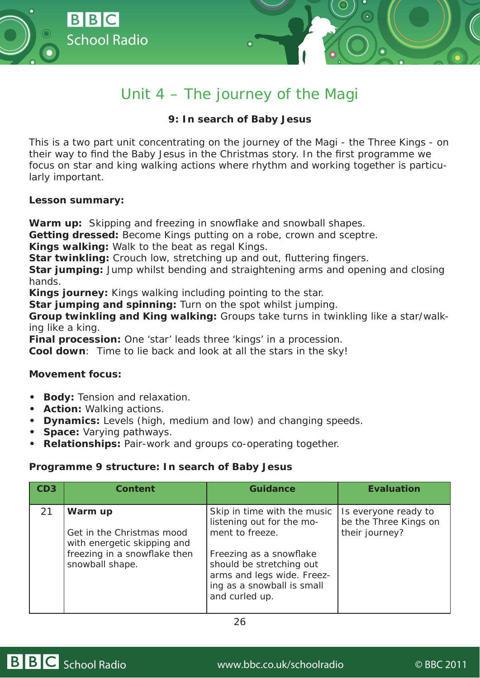

# Unit 4 – The journey of the Magi

#### **9: In search of Baby Jesus**

This is a two part unit concentrating on the journey of the Magi - the Three Kings - on their way to find the Baby Jesus in the Christmas story. In the first programme we focus on star and king walking actions where rhythm and working together is particularly important.

#### **Lesson summary:**

**Warm up:** Skipping and freezing in snowflake and snowball shapes.

**Getting dressed:** Become Kings putting on a robe, crown and sceptre.

**Kings walking:** Walk to the beat as regal Kings.

**Star twinkling:** Crouch low, stretching up and out, fluttering fingers.

**Star jumping:** Jump whilst bending and straightening arms and opening and closing hands.

**Kings journey:** Kings walking including pointing to the star.

**Star jumping and spinning:** Turn on the spot whilst jumping.

**Group twinkling and King walking:** Groups take turns in twinkling like a star/walking like a king.

**Final procession:** One 'star' leads three 'kings' in a procession.

**Cool down**: Time to lie back and look at all the stars in the sky!

#### **Movement focus:**

- **Body:** Tension and relaxation.
- **Action:** Walking actions.
- **Dynamics:** Levels (high, medium and low) and changing speeds.
- **Space:** Varying pathways.
- **Relationships:** Pair-work and groups co-operating together.

#### **Programme 9 structure: In search of Baby Jesus**

| CD3 | <b>Content</b>                                                                                                         | <b>Guidance</b>                                                                                                                                                                                                  | <b>Evaluation</b>                                               |
|-----|------------------------------------------------------------------------------------------------------------------------|------------------------------------------------------------------------------------------------------------------------------------------------------------------------------------------------------------------|-----------------------------------------------------------------|
| 21  | Warm up<br>Get in the Christmas mood<br>with energetic skipping and<br>freezing in a snowflake then<br>snowball shape. | Skip in time with the music<br>listening out for the mo-<br>ment to freeze.<br>Freezing as a snowflake<br>should be stretching out<br>arms and legs wide. Freez-<br>ing as a snowball is small<br>and curled up. | Is everyone ready to<br>be the Three Kings on<br>their journey? |

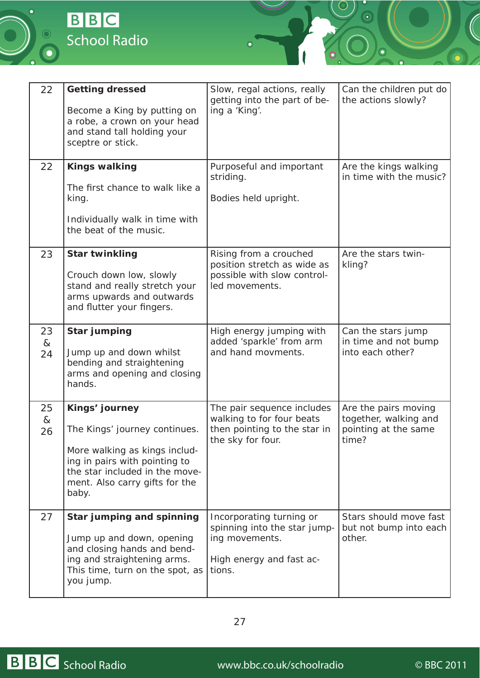

| 22               | <b>Getting dressed</b><br>Become a King by putting on<br>a robe, a crown on your head<br>and stand tall holding your<br>sceptre or stick.                                                      | Slow, regal actions, really<br>getting into the part of be-<br>ing a 'King'.                                     | Can the children put do<br>the actions slowly?                                 |
|------------------|------------------------------------------------------------------------------------------------------------------------------------------------------------------------------------------------|------------------------------------------------------------------------------------------------------------------|--------------------------------------------------------------------------------|
| 22               | <b>Kings walking</b><br>The first chance to walk like a<br>king.<br>Individually walk in time with<br>the beat of the music.                                                                   | Purposeful and important<br>striding.<br>Bodies held upright.                                                    | Are the kings walking<br>in time with the music?                               |
| 23               | <b>Star twinkling</b><br>Crouch down low, slowly<br>stand and really stretch your<br>arms upwards and outwards<br>and flutter your fingers.                                                    | Rising from a crouched<br>position stretch as wide as<br>possible with slow control-<br>led movements.           | Are the stars twin-<br>kling?                                                  |
| 23<br>$\&$<br>24 | <b>Star jumping</b><br>Jump up and down whilst<br>bending and straightening<br>arms and opening and closing<br>hands.                                                                          | High energy jumping with<br>added 'sparkle' from arm<br>and hand movments.                                       | Can the stars jump<br>in time and not bump<br>into each other?                 |
| 25<br>&<br>26    | Kings' journey<br>The Kings' journey continues.<br>More walking as kings includ-<br>ing in pairs with pointing to<br>the star included in the move-<br>ment. Also carry gifts for the<br>baby. | The pair sequence includes<br>walking to for four beats<br>then pointing to the star in<br>the sky for four.     | Are the pairs moving<br>together, walking and<br>pointing at the same<br>time? |
| 27               | Star jumping and spinning<br>Jump up and down, opening<br>and closing hands and bend-<br>ing and straightening arms.<br>This time, turn on the spot, as<br>you jump.                           | Incorporating turning or<br>spinning into the star jump-<br>ing movements.<br>High energy and fast ac-<br>tions. | Stars should move fast<br>but not bump into each<br>other.                     |

 $\odot$ 

 $\overline{\ell}$ 

BBC School Radio www.bbc.co.uk/schoolradio © BBC 2011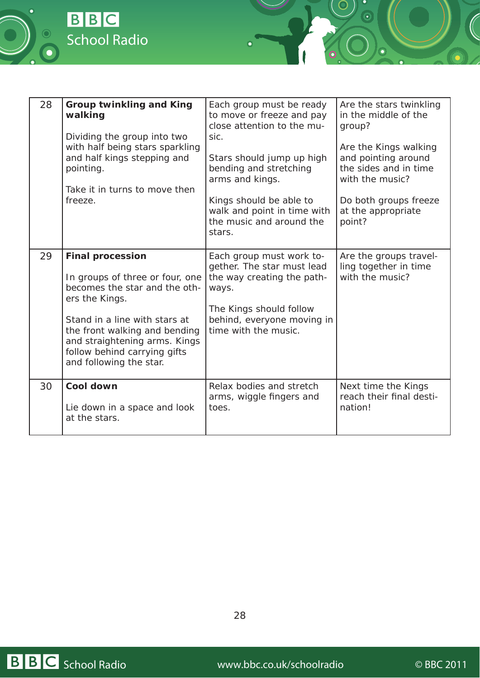

| 28 | <b>Group twinkling and King</b><br>walking<br>Dividing the group into two<br>with half being stars sparkling<br>and half kings stepping and<br>pointing.<br>Take it in turns to move then<br>freeze.                                                                        | Each group must be ready<br>to move or freeze and pay<br>close attention to the mu-<br>sic.<br>Stars should jump up high<br>bending and stretching<br>arms and kings.<br>Kings should be able to<br>walk and point in time with<br>the music and around the<br>stars. | Are the stars twinkling<br>in the middle of the<br>group?<br>Are the Kings walking<br>and pointing around<br>the sides and in time<br>with the music?<br>Do both groups freeze<br>at the appropriate<br>point? |
|----|-----------------------------------------------------------------------------------------------------------------------------------------------------------------------------------------------------------------------------------------------------------------------------|-----------------------------------------------------------------------------------------------------------------------------------------------------------------------------------------------------------------------------------------------------------------------|----------------------------------------------------------------------------------------------------------------------------------------------------------------------------------------------------------------|
| 29 | <b>Final procession</b><br>In groups of three or four, one<br>becomes the star and the oth-<br>ers the Kings.<br>Stand in a line with stars at<br>the front walking and bending<br>and straightening arms. Kings<br>follow behind carrying gifts<br>and following the star. | Each group must work to-<br>gether. The star must lead<br>the way creating the path-<br>ways.<br>The Kings should follow<br>behind, everyone moving in<br>time with the music.                                                                                        | Are the groups travel-<br>ling together in time<br>with the music?                                                                                                                                             |
| 30 | Cool down<br>Lie down in a space and look<br>at the stars.                                                                                                                                                                                                                  | Relax bodies and stretch<br>arms, wiggle fingers and<br>toes.                                                                                                                                                                                                         | Next time the Kings<br>reach their final desti-<br>nation!                                                                                                                                                     |

 $\widehat{\bullet}$ 

BBC School Radio www.bbc.co.uk/schoolradio © BBC 2011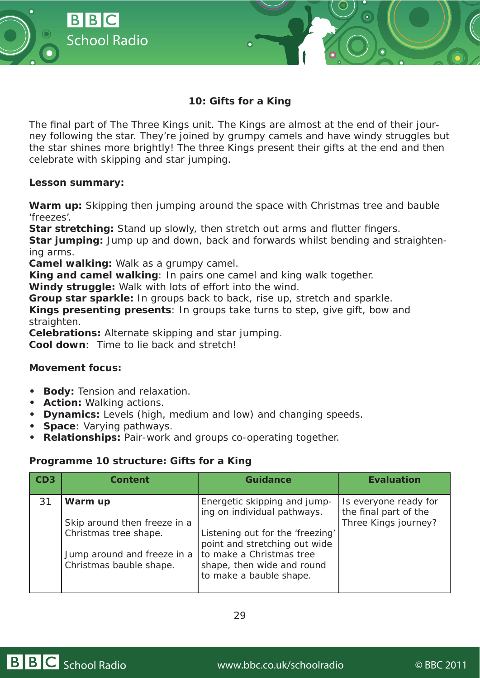#### **10: Gifts for a King**

The final part of The Three Kings unit. The Kings are almost at the end of their journey following the star. They're joined by grumpy camels and have windy struggles but the star shines more brightly! The three Kings present their gifts at the end and then celebrate with skipping and star jumping.

#### **Lesson summary:**

School Radio

BBC

**Warm up:** Skipping then jumping around the space with Christmas tree and bauble 'freezes'.

**Star stretching:** Stand up slowly, then stretch out arms and flutter fingers.

**Star jumping:** Jump up and down, back and forwards whilst bending and straightening arms.

**Camel walking:** Walk as a grumpy camel.

**King and camel walking**: In pairs one camel and king walk together.

**Windy struggle:** Walk with lots of effort into the wind.

**Group star sparkle:** In groups back to back, rise up, stretch and sparkle.

**Kings presenting presents**: In groups take turns to step, give gift, bow and straighten.

**Celebrations:** Alternate skipping and star jumping.

**Cool down**: Time to lie back and stretch!

#### **Movement focus:**

- **Body:** Tension and relaxation.
- **Action:** Walking actions.
- **Dynamics:** Levels (high, medium and low) and changing speeds.
- **Space**: Varying pathways.
- **Relationships:** Pair-work and groups co-operating together.

#### **Programme 10 structure: Gifts for a King**

| CD3 | <b>Content</b>                                                                                                             | <b>Guidance</b>                                                                                                                                                                                                       | <b>Evaluation</b>                                                      |
|-----|----------------------------------------------------------------------------------------------------------------------------|-----------------------------------------------------------------------------------------------------------------------------------------------------------------------------------------------------------------------|------------------------------------------------------------------------|
| 31  | Warm up<br>Skip around then freeze in a<br>Christmas tree shape.<br>Jump around and freeze in a<br>Christmas bauble shape. | Energetic skipping and jump-<br>ing on individual pathways.<br>Listening out for the 'freezing'<br>point and stretching out wide<br>to make a Christmas tree<br>shape, then wide and round<br>to make a bauble shape. | Is everyone ready for<br>the final part of the<br>Three Kings journey? |

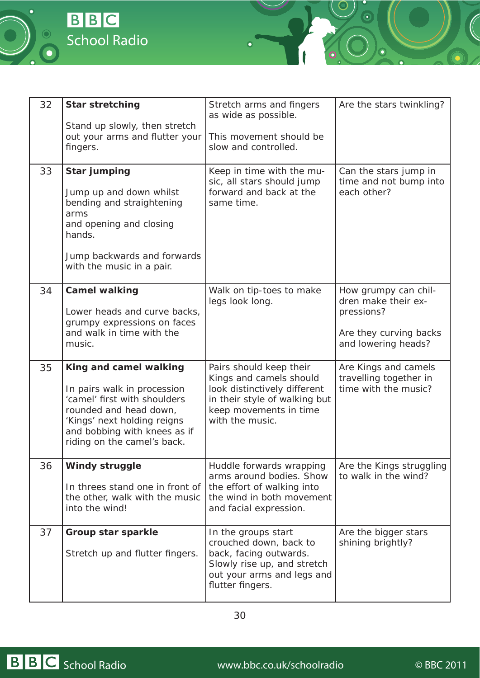



School Radio

BBC